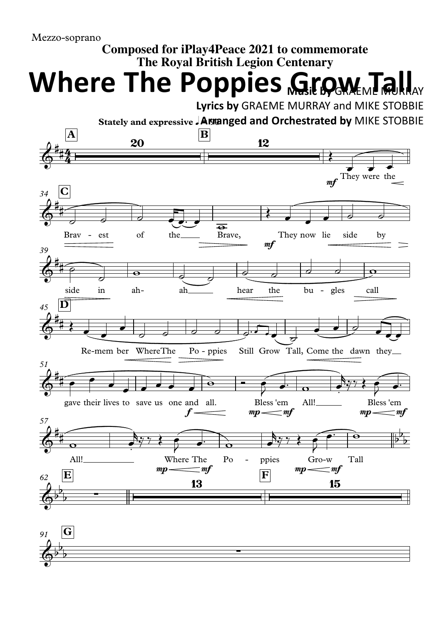## **Composed for iPlay4Peace 2021 to commemorate The Royal British Legion Centenary**

**Where The Poppies Grow Tall** 

**Lyrics by** GRAEME MURRAY and MIKE STOBBIE

**Stately and expressive** q**= 90 Arranged and Orchestrated by** MIKE STOBBIE